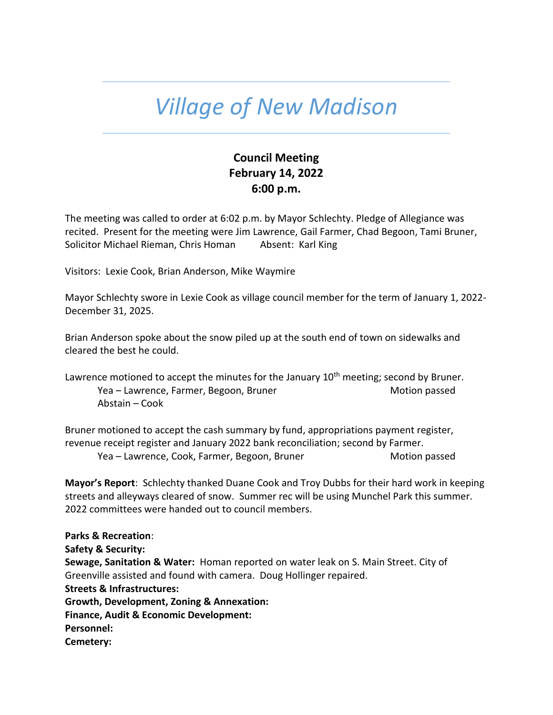## *Village of New Madison*

## **Council Meeting February 14, 2022 6:00 p.m.**

The meeting was called to order at 6:02 p.m. by Mayor Schlechty. Pledge of Allegiance was recited. Present for the meeting were Jim Lawrence, Gail Farmer, Chad Begoon, Tami Bruner, Solicitor Michael Rieman, Chris Homan Absent: Karl King

Visitors: Lexie Cook, Brian Anderson, Mike Waymire

Mayor Schlechty swore in Lexie Cook as village council member for the term of January 1, 2022- December 31, 2025.

Brian Anderson spoke about the snow piled up at the south end of town on sidewalks and cleared the best he could.

Lawrence motioned to accept the minutes for the January  $10<sup>th</sup>$  meeting; second by Bruner. Yea – Lawrence, Farmer, Begoon, Bruner Motion passed Motion passed Abstain – Cook

Bruner motioned to accept the cash summary by fund, appropriations payment register, revenue receipt register and January 2022 bank reconciliation; second by Farmer. Yea – Lawrence, Cook, Farmer, Begoon, Bruner Motion passed

**Mayor's Report**: Schlechty thanked Duane Cook and Troy Dubbs for their hard work in keeping streets and alleyways cleared of snow. Summer rec will be using Munchel Park this summer. 2022 committees were handed out to council members.

**Parks & Recreation**: **Safety & Security: Sewage, Sanitation & Water:** Homan reported on water leak on S. Main Street. City of Greenville assisted and found with camera. Doug Hollinger repaired. **Streets & Infrastructures: Growth, Development, Zoning & Annexation: Finance, Audit & Economic Development: Personnel: Cemetery:**